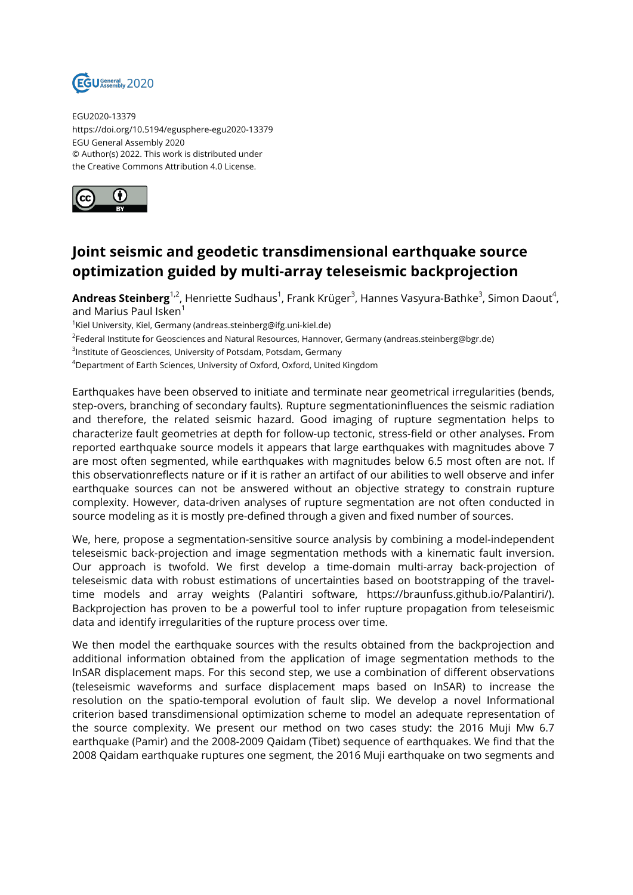

EGU2020-13379 https://doi.org/10.5194/egusphere-egu2020-13379 EGU General Assembly 2020 © Author(s) 2022. This work is distributed under the Creative Commons Attribution 4.0 License.



## **Joint seismic and geodetic transdimensional earthquake source optimization guided by multi-array teleseismic backprojection**

**Andreas Steinberg<sup>1,2</sup>,** Henriette Sudhaus<sup>1</sup>, Frank Krüger<sup>3</sup>, Hannes Vasyura-Bathke<sup>3</sup>, Simon Daout<sup>4</sup>, and Marius Paul Isken<sup>1</sup>

 $^1$ Kiel University, Kiel, Germany (andreas.steinberg@ifg.uni-kiel.de)

2 Federal Institute for Geosciences and Natural Resources, Hannover, Germany (andreas.steinberg@bgr.de)

 ${}^{3}$ Institute of Geosciences, University of Potsdam, Potsdam, Germany

<sup>4</sup>Department of Earth Sciences, University of Oxford, Oxford, United Kingdom

Earthquakes have been observed to initiate and terminate near geometrical irregularities (bends, step-overs, branching of secondary faults). Rupture segmentationinfluences the seismic radiation and therefore, the related seismic hazard. Good imaging of rupture segmentation helps to characterize fault geometries at depth for follow-up tectonic, stress-field or other analyses. From reported earthquake source models it appears that large earthquakes with magnitudes above 7 are most often segmented, while earthquakes with magnitudes below 6.5 most often are not. If this observationreflects nature or if it is rather an artifact of our abilities to well observe and infer earthquake sources can not be answered without an objective strategy to constrain rupture complexity. However, data-driven analyses of rupture segmentation are not often conducted in source modeling as it is mostly pre-defined through a given and fixed number of sources.

We, here, propose a segmentation-sensitive source analysis by combining a model-independent teleseismic back-projection and image segmentation methods with a kinematic fault inversion. Our approach is twofold. We first develop a time-domain multi-array back-projection of teleseismic data with robust estimations of uncertainties based on bootstrapping of the traveltime models and array weights (Palantiri software, https://braunfuss.github.io/Palantiri/). Backprojection has proven to be a powerful tool to infer rupture propagation from teleseismic data and identify irregularities of the rupture process over time.

We then model the earthquake sources with the results obtained from the backprojection and additional information obtained from the application of image segmentation methods to the InSAR displacement maps. For this second step, we use a combination of different observations (teleseismic waveforms and surface displacement maps based on InSAR) to increase the resolution on the spatio-temporal evolution of fault slip. We develop a novel Informational criterion based transdimensional optimization scheme to model an adequate representation of the source complexity. We present our method on two cases study: the 2016 Muji Mw 6.7 earthquake (Pamir) and the 2008-2009 Qaidam (Tibet) sequence of earthquakes. We find that the 2008 Qaidam earthquake ruptures one segment, the 2016 Muji earthquake on two segments and